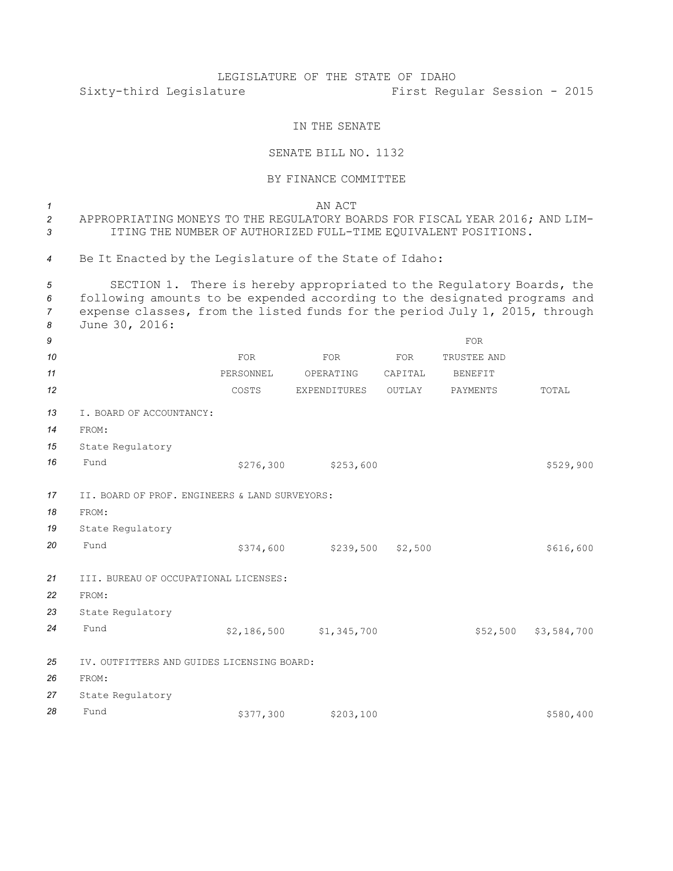## LEGISLATURE OF THE STATE OF IDAHO Sixty-third Legislature First Regular Session - 2015

## IN THE SENATE

## SENATE BILL NO. 1132

## BY FINANCE COMMITTEE

*1* AN ACT APPROPRIATING MONEYS TO THE REGULATORY BOARDS FOR FISCAL YEAR 2016; AND LIM- ITING THE NUMBER OF AUTHORIZED FULL-TIME EQUIVALENT POSITIONS. Be It Enacted by the Legislature of the State of Idaho: SECTION 1. There is hereby appropriated to the Regulatory Boards, the following amounts to be expended according to the designated programs and expense classes, from the listed funds for the period July 1, 2015, through June 30, 2016: *9* FOR **FOR** FOR FOR FOR FOR TRUSTEE AND **11 PERSONNEL OPERATING CAPITAL BENEFIT 12** COSTS EXPENDITURES OUTLAY PAYMENTS TOTAL I. BOARD OF ACCOUNTANCY: *14* FROM: State Regulatory Fund \$276,300 \$253,600 II. BOARD OF PROF. ENGINEERS & LAND SURVEYORS: *18* FROM: State Regulatory Fund \$374,600 \$239,500 \$2,500 \$2,500 \$616,600 III. BUREAU OF OCCUPATIONAL LICENSES: *22* FROM: State Regulatory Fund \$2,186,500 \$1,345,700 \$52,500 \$3,584,700 IV. OUTFITTERS AND GUIDES LICENSING BOARD: *26* FROM: State Regulatory Fund \$377,300 \$203,100 \$203,100 \$580,400